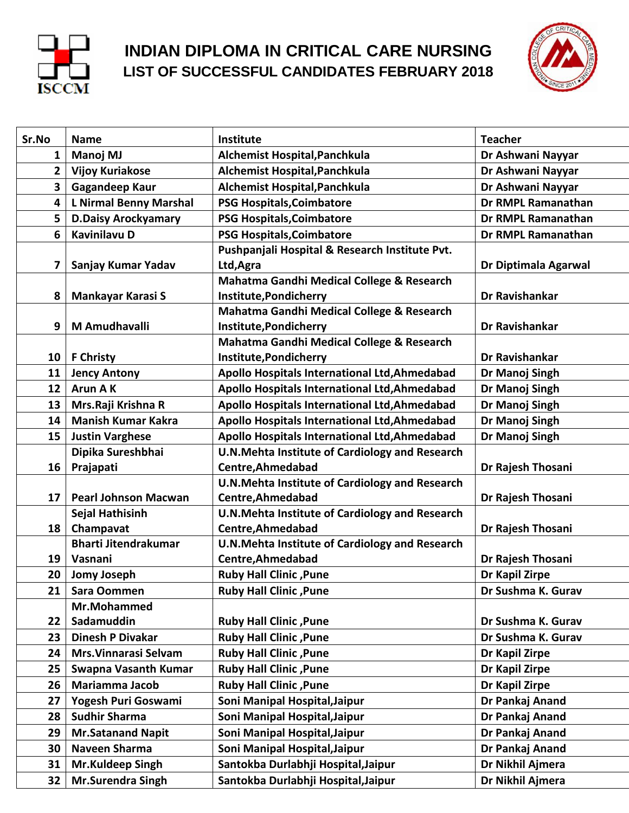

## **INDIAN DIPLOMA IN CRITICAL CARE NURSING LIST OF SUCCESSFUL CANDIDATES FEBRUARY 2018**



| Sr.No          | <b>Name</b>                   | Institute                                             | <b>Teacher</b>        |
|----------------|-------------------------------|-------------------------------------------------------|-----------------------|
| 1              | Manoj MJ                      | Alchemist Hospital, Panchkula                         | Dr Ashwani Nayyar     |
| 2 <sup>1</sup> | <b>Vijoy Kuriakose</b>        | Alchemist Hospital, Panchkula                         | Dr Ashwani Nayyar     |
| 3              | <b>Gagandeep Kaur</b>         | Alchemist Hospital, Panchkula                         | Dr Ashwani Nayyar     |
| 4              | <b>L Nirmal Benny Marshal</b> | <b>PSG Hospitals, Coimbatore</b>                      | Dr RMPL Ramanathan    |
| 5              | <b>D.Daisy Arockyamary</b>    | <b>PSG Hospitals, Coimbatore</b>                      | Dr RMPL Ramanathan    |
| 6              | <b>Kavinilavu D</b>           | <b>PSG Hospitals, Coimbatore</b>                      | Dr RMPL Ramanathan    |
|                |                               | Pushpanjali Hospital & Research Institute Pvt.        |                       |
| 7              | Sanjay Kumar Yadav            | Ltd, Agra                                             | Dr Diptimala Agarwal  |
|                |                               | Mahatma Gandhi Medical College & Research             |                       |
| 8              | <b>Mankayar Karasi S</b>      | Institute, Pondicherry                                | Dr Ravishankar        |
|                |                               | Mahatma Gandhi Medical College & Research             |                       |
| 9              | M Amudhavalli                 | Institute, Pondicherry                                | Dr Ravishankar        |
|                |                               | Mahatma Gandhi Medical College & Research             |                       |
| 10             | <b>F Christy</b>              | Institute, Pondicherry                                | <b>Dr Ravishankar</b> |
| 11             | <b>Jency Antony</b>           | Apollo Hospitals International Ltd, Ahmedabad         | Dr Manoj Singh        |
| 12             | <b>Arun AK</b>                | Apollo Hospitals International Ltd, Ahmedabad         | Dr Manoj Singh        |
| 13             | Mrs.Raji Krishna R            | Apollo Hospitals International Ltd, Ahmedabad         | Dr Manoj Singh        |
| 14             | <b>Manish Kumar Kakra</b>     | Apollo Hospitals International Ltd, Ahmedabad         | Dr Manoj Singh        |
| 15             | <b>Justin Varghese</b>        | Apollo Hospitals International Ltd, Ahmedabad         | Dr Manoj Singh        |
|                | Dipika Sureshbhai             | <b>U.N.Mehta Institute of Cardiology and Research</b> |                       |
| 16             | Prajapati                     | Centre, Ahmedabad                                     | Dr Rajesh Thosani     |
|                |                               | U.N. Mehta Institute of Cardiology and Research       |                       |
| 17             | <b>Pearl Johnson Macwan</b>   | Centre, Ahmedabad                                     | Dr Rajesh Thosani     |
|                | Sejal Hathisinh               | <b>U.N.Mehta Institute of Cardiology and Research</b> |                       |
| 18             | Champavat                     | Centre, Ahmedabad                                     | Dr Rajesh Thosani     |
|                | <b>Bharti Jitendrakumar</b>   | U.N. Mehta Institute of Cardiology and Research       |                       |
| 19             | Vasnani                       | Centre, Ahmedabad                                     | Dr Rajesh Thosani     |
| 20             | <b>Jomy Joseph</b>            | <b>Ruby Hall Clinic , Pune</b>                        | Dr Kapil Zirpe        |
| 21             | Sara Oommen                   | <b>Ruby Hall Clinic , Pune</b>                        | Dr Sushma K. Gurav    |
|                | Mr.Mohammed                   |                                                       |                       |
| 22             | Sadamuddin                    | <b>Ruby Hall Clinic, Pune</b>                         | Dr Sushma K. Gurav    |
| 23             | <b>Dinesh P Divakar</b>       | <b>Ruby Hall Clinic, Pune</b>                         | Dr Sushma K. Gurav    |
| 24             | Mrs. Vinnarasi Selvam         | <b>Ruby Hall Clinic , Pune</b>                        | Dr Kapil Zirpe        |
| 25             | <b>Swapna Vasanth Kumar</b>   | <b>Ruby Hall Clinic, Pune</b>                         | Dr Kapil Zirpe        |
| 26             | <b>Mariamma Jacob</b>         | <b>Ruby Hall Clinic, Pune</b>                         | Dr Kapil Zirpe        |
| 27             | Yogesh Puri Goswami           | Soni Manipal Hospital, Jaipur                         | Dr Pankaj Anand       |
| 28             | <b>Sudhir Sharma</b>          | Soni Manipal Hospital, Jaipur                         | Dr Pankaj Anand       |
| 29             | <b>Mr.Satanand Napit</b>      | Soni Manipal Hospital, Jaipur                         | Dr Pankaj Anand       |
| 30             | Naveen Sharma                 | Soni Manipal Hospital, Jaipur                         | Dr Pankaj Anand       |
| 31             | Mr.Kuldeep Singh              | Santokba Durlabhji Hospital, Jaipur                   | Dr Nikhil Ajmera      |
| 32             | <b>Mr.Surendra Singh</b>      | Santokba Durlabhji Hospital, Jaipur                   | Dr Nikhil Ajmera      |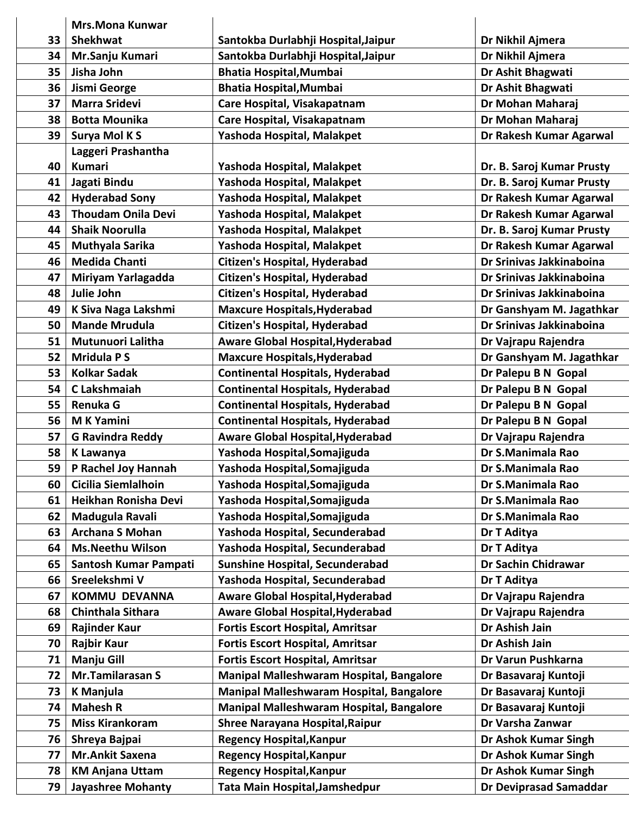|    | <b>Mrs.Mona Kunwar</b>    |                                          |                               |
|----|---------------------------|------------------------------------------|-------------------------------|
| 33 | <b>Shekhwat</b>           | Santokba Durlabhji Hospital, Jaipur      | Dr Nikhil Ajmera              |
| 34 | Mr.Sanju Kumari           | Santokba Durlabhji Hospital, Jaipur      | Dr Nikhil Ajmera              |
| 35 | Jisha John                | <b>Bhatia Hospital, Mumbai</b>           | Dr Ashit Bhagwati             |
| 36 | Jismi George              | <b>Bhatia Hospital, Mumbai</b>           | Dr Ashit Bhagwati             |
| 37 | <b>Marra Sridevi</b>      | Care Hospital, Visakapatnam              | Dr Mohan Maharaj              |
| 38 | <b>Botta Mounika</b>      | Care Hospital, Visakapatnam              | Dr Mohan Maharaj              |
| 39 | Surya Mol K S             | Yashoda Hospital, Malakpet               | Dr Rakesh Kumar Agarwal       |
|    | Laggeri Prashantha        |                                          |                               |
| 40 | <b>Kumari</b>             | Yashoda Hospital, Malakpet               | Dr. B. Saroj Kumar Prusty     |
| 41 | Jagati Bindu              | Yashoda Hospital, Malakpet               | Dr. B. Saroj Kumar Prusty     |
| 42 | <b>Hyderabad Sony</b>     | Yashoda Hospital, Malakpet               | Dr Rakesh Kumar Agarwal       |
| 43 | <b>Thoudam Onila Devi</b> | Yashoda Hospital, Malakpet               | Dr Rakesh Kumar Agarwal       |
| 44 | <b>Shaik Noorulla</b>     | Yashoda Hospital, Malakpet               | Dr. B. Saroj Kumar Prusty     |
| 45 | Muthyala Sarika           | Yashoda Hospital, Malakpet               | Dr Rakesh Kumar Agarwal       |
| 46 | <b>Medida Chanti</b>      | <b>Citizen's Hospital, Hyderabad</b>     | Dr Srinivas Jakkinaboina      |
| 47 | Miriyam Yarlagadda        | <b>Citizen's Hospital, Hyderabad</b>     | Dr Srinivas Jakkinaboina      |
| 48 | Julie John                | Citizen's Hospital, Hyderabad            | Dr Srinivas Jakkinaboina      |
| 49 | K Siva Naga Lakshmi       | <b>Maxcure Hospitals, Hyderabad</b>      | Dr Ganshyam M. Jagathkar      |
| 50 | <b>Mande Mrudula</b>      | <b>Citizen's Hospital, Hyderabad</b>     | Dr Srinivas Jakkinaboina      |
| 51 | Mutunuori Lalitha         | Aware Global Hospital, Hyderabad         | Dr Vajrapu Rajendra           |
| 52 | <b>Mridula PS</b>         | <b>Maxcure Hospitals, Hyderabad</b>      | Dr Ganshyam M. Jagathkar      |
| 53 | <b>Kolkar Sadak</b>       | <b>Continental Hospitals, Hyderabad</b>  | Dr Palepu B N Gopal           |
| 54 | C Lakshmaiah              | <b>Continental Hospitals, Hyderabad</b>  | Dr Palepu B N Gopal           |
| 55 | Renuka G                  | <b>Continental Hospitals, Hyderabad</b>  | Dr Palepu B N Gopal           |
| 56 | <b>MK Yamini</b>          | <b>Continental Hospitals, Hyderabad</b>  | Dr Palepu B N Gopal           |
| 57 | <b>G Ravindra Reddy</b>   | <b>Aware Global Hospital, Hyderabad</b>  | Dr Vajrapu Rajendra           |
| 58 | <b>K Lawanya</b>          | Yashoda Hospital, Somajiguda             | Dr S.Manimala Rao             |
| 59 | P Rachel Joy Hannah       | Yashoda Hospital, Somajiguda             | Dr S.Manimala Rao             |
| 60 | Cicilia Siemlalhoin       | Yashoda Hospital, Somajiguda             | Dr S.Manimala Rao             |
| 61 | Heikhan Ronisha Devi      | Yashoda Hospital, Somajiguda             | Dr S.Manimala Rao             |
| 62 | Madugula Ravali           | Yashoda Hospital, Somajiguda             | Dr S.Manimala Rao             |
| 63 | <b>Archana S Mohan</b>    | Yashoda Hospital, Secunderabad           | Dr T Aditya                   |
| 64 | <b>Ms.Neethu Wilson</b>   | Yashoda Hospital, Secunderabad           | Dr T Aditya                   |
| 65 | Santosh Kumar Pampati     | <b>Sunshine Hospital, Secunderabad</b>   | Dr Sachin Chidrawar           |
| 66 | Sreelekshmi V             | Yashoda Hospital, Secunderabad           | Dr T Aditya                   |
| 67 | <b>KOMMU DEVANNA</b>      | <b>Aware Global Hospital, Hyderabad</b>  | Dr Vajrapu Rajendra           |
| 68 | Chinthala Sithara         | <b>Aware Global Hospital, Hyderabad</b>  | Dr Vajrapu Rajendra           |
| 69 | <b>Rajinder Kaur</b>      | <b>Fortis Escort Hospital, Amritsar</b>  | Dr Ashish Jain                |
| 70 | <b>Rajbir Kaur</b>        | <b>Fortis Escort Hospital, Amritsar</b>  | Dr Ashish Jain                |
| 71 | <b>Manju Gill</b>         | <b>Fortis Escort Hospital, Amritsar</b>  | Dr Varun Pushkarna            |
| 72 | Mr.Tamilarasan S          | Manipal Malleshwaram Hospital, Bangalore | Dr Basavaraj Kuntoji          |
| 73 | <b>K Manjula</b>          | Manipal Malleshwaram Hospital, Bangalore | Dr Basavaraj Kuntoji          |
| 74 | <b>Mahesh R</b>           | Manipal Malleshwaram Hospital, Bangalore | Dr Basavaraj Kuntoji          |
| 75 | <b>Miss Kirankoram</b>    | <b>Shree Narayana Hospital, Raipur</b>   | Dr Varsha Zanwar              |
| 76 | Shreya Bajpai             | <b>Regency Hospital, Kanpur</b>          | Dr Ashok Kumar Singh          |
| 77 | <b>Mr.Ankit Saxena</b>    | <b>Regency Hospital, Kanpur</b>          | Dr Ashok Kumar Singh          |
| 78 | <b>KM Anjana Uttam</b>    | <b>Regency Hospital, Kanpur</b>          | Dr Ashok Kumar Singh          |
| 79 | <b>Jayashree Mohanty</b>  | Tata Main Hospital, Jamshedpur           | <b>Dr Deviprasad Samaddar</b> |